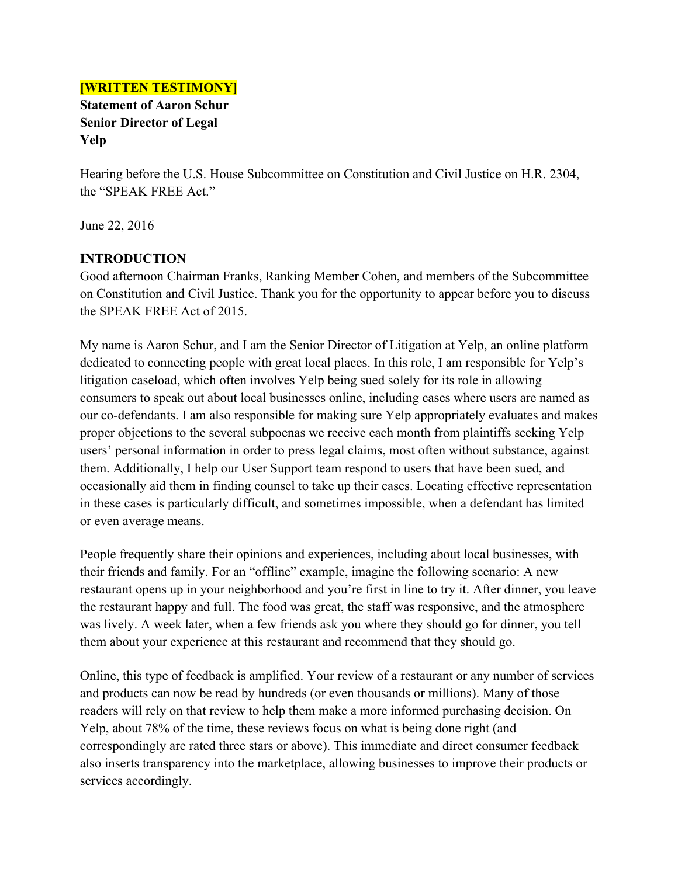#### **[WRITTEN TESTIMONY]**

**Statement of Aaron Schur Senior Director of Legal Yelp**

Hearing before the U.S. House Subcommittee on Constitution and Civil Justice on H.R. 2304, the "SPEAK FREE Act."

June 22, 2016

### **INTRODUCTION**

Good afternoon Chairman Franks, Ranking Member Cohen, and members of the Subcommittee on Constitution and Civil Justice. Thank you for the opportunity to appear before you to discuss the SPEAK FREE Act of 2015.

My name is Aaron Schur, and I am the Senior Director of Litigation at Yelp, an online platform dedicated to connecting people with great local places. In this role, I am responsible for Yelp's litigation caseload, which often involves Yelp being sued solely for its role in allowing consumers to speak out about local businesses online, including cases where users are named as our co-defendants. I am also responsible for making sure Yelp appropriately evaluates and makes proper objections to the several subpoenas we receive each month from plaintiffs seeking Yelp users' personal information in order to press legal claims, most often without substance, against them. Additionally, I help our User Support team respond to users that have been sued, and occasionally aid them in finding counsel to take up their cases. Locating effective representation in these cases is particularly difficult, and sometimes impossible, when a defendant has limited or even average means.

People frequently share their opinions and experiences, including about local businesses, with their friends and family. For an "offline" example, imagine the following scenario: A new restaurant opens up in your neighborhood and you're first in line to try it. After dinner, you leave the restaurant happy and full. The food was great, the staff was responsive, and the atmosphere was lively. A week later, when a few friends ask you where they should go for dinner, you tell them about your experience at this restaurant and recommend that they should go.

Online, this type of feedback is amplified. Your review of a restaurant or any number of services and products can now be read by hundreds (or even thousands or millions). Many of those readers will rely on that review to help them make a more informed purchasing decision. On Yelp, about 78% of the time, these reviews focus on what is being done right (and correspondingly are rated three stars or above). This immediate and direct consumer feedback also inserts transparency into the marketplace, allowing businesses to improve their products or services accordingly.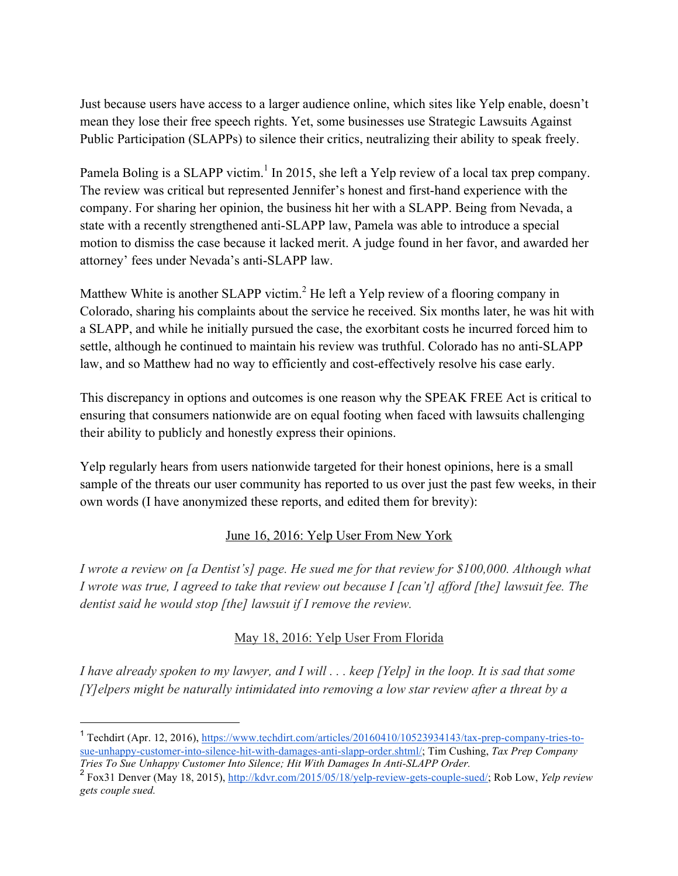Just because users have access to a larger audience online, which sites like Yelp enable, doesn't mean they lose their free speech rights. Yet, some businesses use Strategic Lawsuits Against Public Participation (SLAPPs) to silence their critics, neutralizing their ability to speak freely.

Pamela Boling is a SLAPP victim.<sup>1</sup> In 2015, she left a Yelp review of a local tax prep company. The review was critical but represented Jennifer's honest and first-hand experience with the company. For sharing her opinion, the business hit her with a SLAPP. Being from Nevada, a state with a recently strengthened anti-SLAPP law, Pamela was able to introduce a special motion to dismiss the case because it lacked merit. A judge found in her favor, and awarded her attorney' fees under Nevada's anti-SLAPP law.

Matthew White is another SLAPP victim.<sup>2</sup> He left a Yelp review of a flooring company in Colorado, sharing his complaints about the service he received. Six months later, he was hit with a SLAPP, and while he initially pursued the case, the exorbitant costs he incurred forced him to settle, although he continued to maintain his review was truthful. Colorado has no anti-SLAPP law, and so Matthew had no way to efficiently and cost-effectively resolve his case early.

This discrepancy in options and outcomes is one reason why the SPEAK FREE Act is critical to ensuring that consumers nationwide are on equal footing when faced with lawsuits challenging their ability to publicly and honestly express their opinions.

Yelp regularly hears from users nationwide targeted for their honest opinions, here is a small sample of the threats our user community has reported to us over just the past few weeks, in their own words (I have anonymized these reports, and edited them for brevity):

### June 16, 2016: Yelp User From New York

*I wrote a review on [a Dentist's] page. He sued me for that review for \$100,000. Although what I wrote was true, I agreed to take that review out because I [can't] afford [the] lawsuit fee. The dentist said he would stop [the] lawsuit if I remove the review.* 

### May 18, 2016: Yelp User From Florida

*I have already spoken to my lawyer, and I will . . . keep [Yelp] in the loop. It is sad that some [Y]elpers might be naturally intimidated into removing a low star review after a threat by a* 

 $\frac{1}{1}$  Techdirt (Apr. 12, 2016), https://www.techdirt.com/articles/20160410/10523934143/tax-prep-company-tries-tosue-unhappy-customer-into-silence-hit-with-damages-anti-slapp-order.shtml/; Tim Cushing, *Tax Prep Company Tries To Sue Unhappy Customer Into Silence; Hit With Damages In Anti-SLAPP Order.*

<sup>2</sup> Fox31 Denver (May 18, 2015), http://kdvr.com/2015/05/18/yelp-review-gets-couple-sued/; Rob Low, *Yelp review gets couple sued.*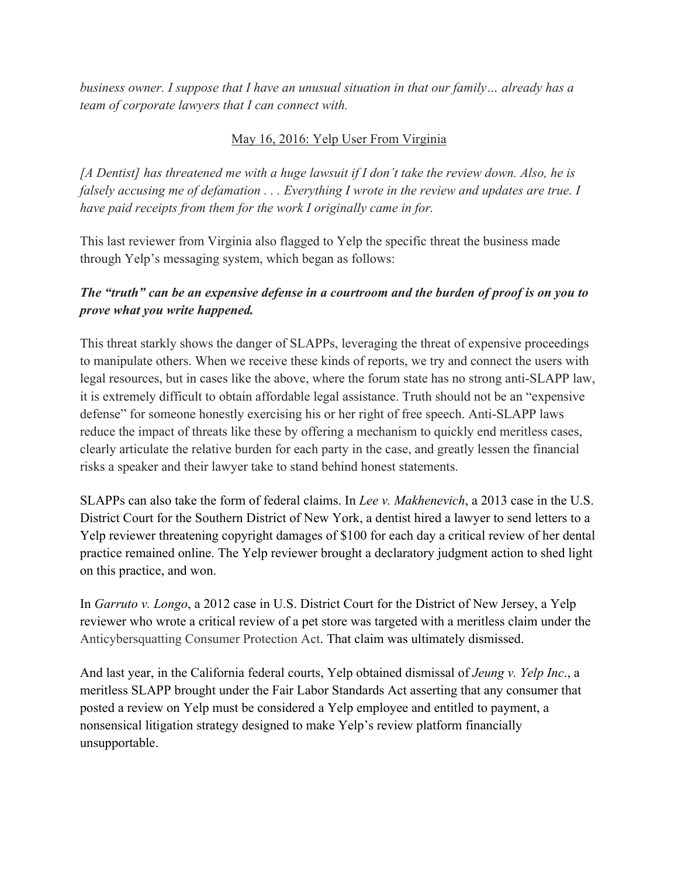*business owner. I suppose that I have an unusual situation in that our family… already has a team of corporate lawyers that I can connect with.*

## May 16, 2016: Yelp User From Virginia

*[A Dentist] has threatened me with a huge lawsuit if I don't take the review down. Also, he is falsely accusing me of defamation . . . Everything I wrote in the review and updates are true. I have paid receipts from them for the work I originally came in for.* 

This last reviewer from Virginia also flagged to Yelp the specific threat the business made through Yelp's messaging system, which began as follows:

# *The "truth" can be an expensive defense in a courtroom and the burden of proof is on you to prove what you write happened.*

This threat starkly shows the danger of SLAPPs, leveraging the threat of expensive proceedings to manipulate others. When we receive these kinds of reports, we try and connect the users with legal resources, but in cases like the above, where the forum state has no strong anti-SLAPP law, it is extremely difficult to obtain affordable legal assistance. Truth should not be an "expensive defense" for someone honestly exercising his or her right of free speech. Anti-SLAPP laws reduce the impact of threats like these by offering a mechanism to quickly end meritless cases, clearly articulate the relative burden for each party in the case, and greatly lessen the financial risks a speaker and their lawyer take to stand behind honest statements.

SLAPPs can also take the form of federal claims. In *Lee v. Makhenevich*, a 2013 case in the U.S. District Court for the Southern District of New York, a dentist hired a lawyer to send letters to a Yelp reviewer threatening copyright damages of \$100 for each day a critical review of her dental practice remained online. The Yelp reviewer brought a declaratory judgment action to shed light on this practice, and won.

In *Garruto v. Longo*, a 2012 case in U.S. District Court for the District of New Jersey, a Yelp reviewer who wrote a critical review of a pet store was targeted with a meritless claim under the Anticybersquatting Consumer Protection Act. That claim was ultimately dismissed.

And last year, in the California federal courts, Yelp obtained dismissal of *Jeung v. Yelp Inc*., a meritless SLAPP brought under the Fair Labor Standards Act asserting that any consumer that posted a review on Yelp must be considered a Yelp employee and entitled to payment, a nonsensical litigation strategy designed to make Yelp's review platform financially unsupportable.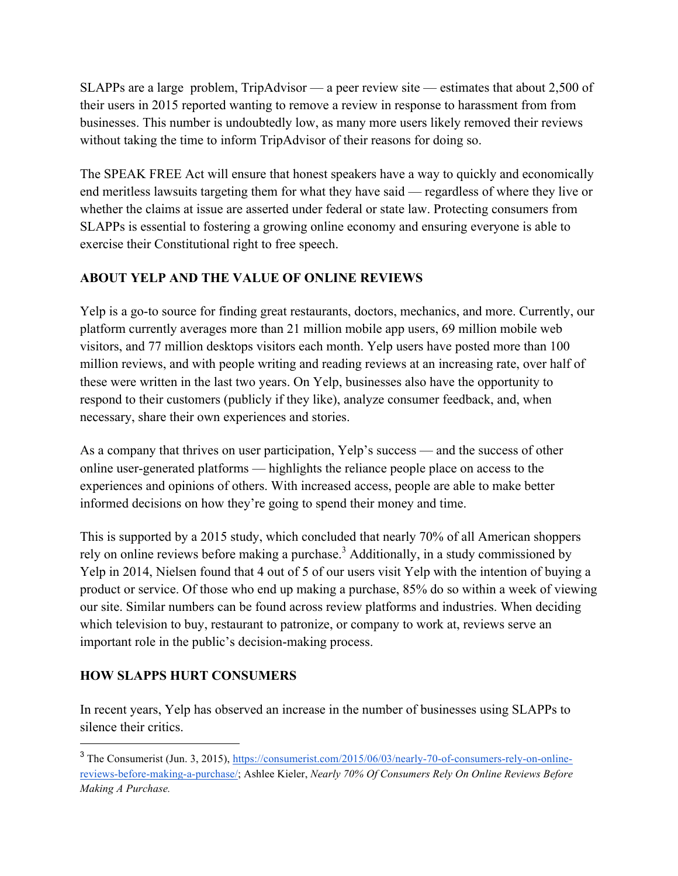SLAPPs are a large problem, TripAdvisor — a peer review site — estimates that about 2,500 of their users in 2015 reported wanting to remove a review in response to harassment from from businesses. This number is undoubtedly low, as many more users likely removed their reviews without taking the time to inform TripAdvisor of their reasons for doing so.

The SPEAK FREE Act will ensure that honest speakers have a way to quickly and economically end meritless lawsuits targeting them for what they have said — regardless of where they live or whether the claims at issue are asserted under federal or state law. Protecting consumers from SLAPPs is essential to fostering a growing online economy and ensuring everyone is able to exercise their Constitutional right to free speech.

## **ABOUT YELP AND THE VALUE OF ONLINE REVIEWS**

Yelp is a go-to source for finding great restaurants, doctors, mechanics, and more. Currently, our platform currently averages more than 21 million mobile app users, 69 million mobile web visitors, and 77 million desktops visitors each month. Yelp users have posted more than 100 million reviews, and with people writing and reading reviews at an increasing rate, over half of these were written in the last two years. On Yelp, businesses also have the opportunity to respond to their customers (publicly if they like), analyze consumer feedback, and, when necessary, share their own experiences and stories.

As a company that thrives on user participation, Yelp's success — and the success of other online user-generated platforms — highlights the reliance people place on access to the experiences and opinions of others. With increased access, people are able to make better informed decisions on how they're going to spend their money and time.

This is supported by a 2015 study, which concluded that nearly 70% of all American shoppers rely on online reviews before making a purchase.<sup>3</sup> Additionally, in a study commissioned by Yelp in 2014, Nielsen found that 4 out of 5 of our users visit Yelp with the intention of buying a product or service. Of those who end up making a purchase, 85% do so within a week of viewing our site. Similar numbers can be found across review platforms and industries. When deciding which television to buy, restaurant to patronize, or company to work at, reviews serve an important role in the public's decision-making process.

### **HOW SLAPPS HURT CONSUMERS**

In recent years, Yelp has observed an increase in the number of businesses using SLAPPs to silence their critics.

<sup>ี&</sup>lt;br>3 <sup>3</sup> The Consumerist (Jun. 3, 2015), https://consumerist.com/2015/06/03/nearly-70-of-consumers-rely-on-onlinereviews-before-making-a-purchase/; Ashlee Kieler, *Nearly 70% Of Consumers Rely On Online Reviews Before Making A Purchase.*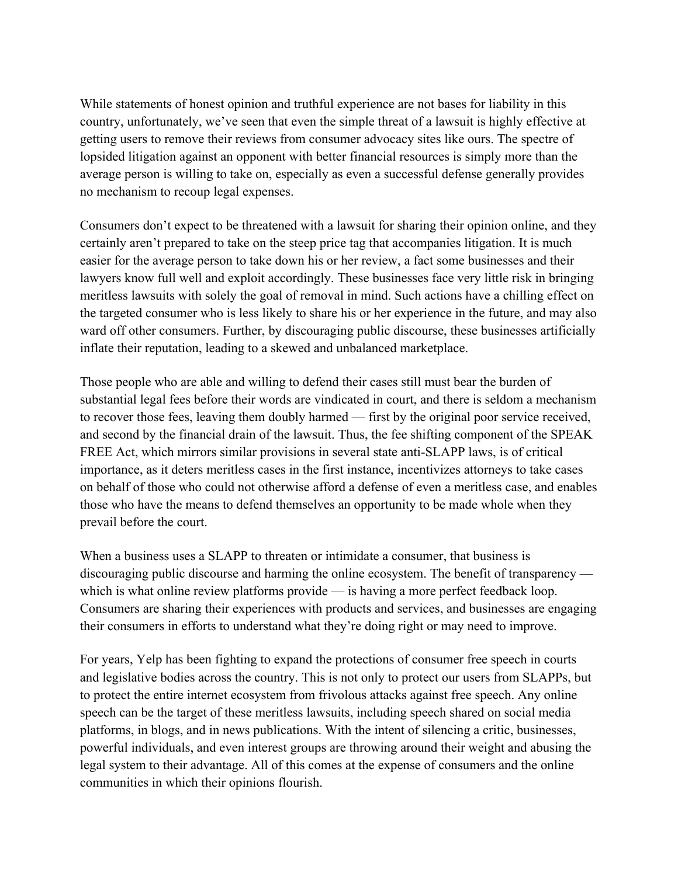While statements of honest opinion and truthful experience are not bases for liability in this country, unfortunately, we've seen that even the simple threat of a lawsuit is highly effective at getting users to remove their reviews from consumer advocacy sites like ours. The spectre of lopsided litigation against an opponent with better financial resources is simply more than the average person is willing to take on, especially as even a successful defense generally provides no mechanism to recoup legal expenses.

Consumers don't expect to be threatened with a lawsuit for sharing their opinion online, and they certainly aren't prepared to take on the steep price tag that accompanies litigation. It is much easier for the average person to take down his or her review, a fact some businesses and their lawyers know full well and exploit accordingly. These businesses face very little risk in bringing meritless lawsuits with solely the goal of removal in mind. Such actions have a chilling effect on the targeted consumer who is less likely to share his or her experience in the future, and may also ward off other consumers. Further, by discouraging public discourse, these businesses artificially inflate their reputation, leading to a skewed and unbalanced marketplace.

Those people who are able and willing to defend their cases still must bear the burden of substantial legal fees before their words are vindicated in court, and there is seldom a mechanism to recover those fees, leaving them doubly harmed — first by the original poor service received, and second by the financial drain of the lawsuit. Thus, the fee shifting component of the SPEAK FREE Act, which mirrors similar provisions in several state anti-SLAPP laws, is of critical importance, as it deters meritless cases in the first instance, incentivizes attorneys to take cases on behalf of those who could not otherwise afford a defense of even a meritless case, and enables those who have the means to defend themselves an opportunity to be made whole when they prevail before the court.

When a business uses a SLAPP to threaten or intimidate a consumer, that business is discouraging public discourse and harming the online ecosystem. The benefit of transparency which is what online review platforms provide — is having a more perfect feedback loop. Consumers are sharing their experiences with products and services, and businesses are engaging their consumers in efforts to understand what they're doing right or may need to improve.

For years, Yelp has been fighting to expand the protections of consumer free speech in courts and legislative bodies across the country. This is not only to protect our users from SLAPPs, but to protect the entire internet ecosystem from frivolous attacks against free speech. Any online speech can be the target of these meritless lawsuits, including speech shared on social media platforms, in blogs, and in news publications. With the intent of silencing a critic, businesses, powerful individuals, and even interest groups are throwing around their weight and abusing the legal system to their advantage. All of this comes at the expense of consumers and the online communities in which their opinions flourish.